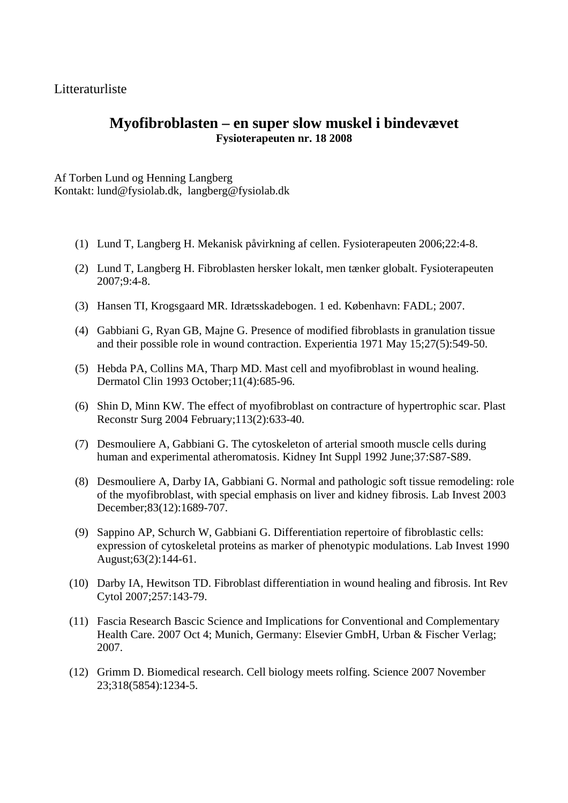Litteraturliste

## **Myofibroblasten – en super slow muskel i bindevævet Fysioterapeuten nr. 18 2008**

Af Torben Lund og Henning Langberg Kontakt: lund@fysiolab.dk, langberg@fysiolab.dk

- (1) Lund T, Langberg H. Mekanisk påvirkning af cellen. Fysioterapeuten 2006;22:4-8.
- (2) Lund T, Langberg H. Fibroblasten hersker lokalt, men tænker globalt. Fysioterapeuten 2007;9:4-8.
- (3) Hansen TI, Krogsgaard MR. Idrætsskadebogen. 1 ed. København: FADL; 2007.
- (4) Gabbiani G, Ryan GB, Majne G. Presence of modified fibroblasts in granulation tissue and their possible role in wound contraction. Experientia 1971 May 15;27(5):549-50.
- (5) Hebda PA, Collins MA, Tharp MD. Mast cell and myofibroblast in wound healing. Dermatol Clin 1993 October;11(4):685-96.
- (6) Shin D, Minn KW. The effect of myofibroblast on contracture of hypertrophic scar. Plast Reconstr Surg 2004 February;113(2):633-40.
- (7) Desmouliere A, Gabbiani G. The cytoskeleton of arterial smooth muscle cells during human and experimental atheromatosis. Kidney Int Suppl 1992 June;37:S87-S89.
- (8) Desmouliere A, Darby IA, Gabbiani G. Normal and pathologic soft tissue remodeling: role of the myofibroblast, with special emphasis on liver and kidney fibrosis. Lab Invest 2003 December;83(12):1689-707.
- (9) Sappino AP, Schurch W, Gabbiani G. Differentiation repertoire of fibroblastic cells: expression of cytoskeletal proteins as marker of phenotypic modulations. Lab Invest 1990 August;63(2):144-61.
- (10) Darby IA, Hewitson TD. Fibroblast differentiation in wound healing and fibrosis. Int Rev Cytol 2007;257:143-79.
- (11) Fascia Research Bascic Science and Implications for Conventional and Complementary Health Care. 2007 Oct 4; Munich, Germany: Elsevier GmbH, Urban & Fischer Verlag; 2007.
- (12) Grimm D. Biomedical research. Cell biology meets rolfing. Science 2007 November 23;318(5854):1234-5.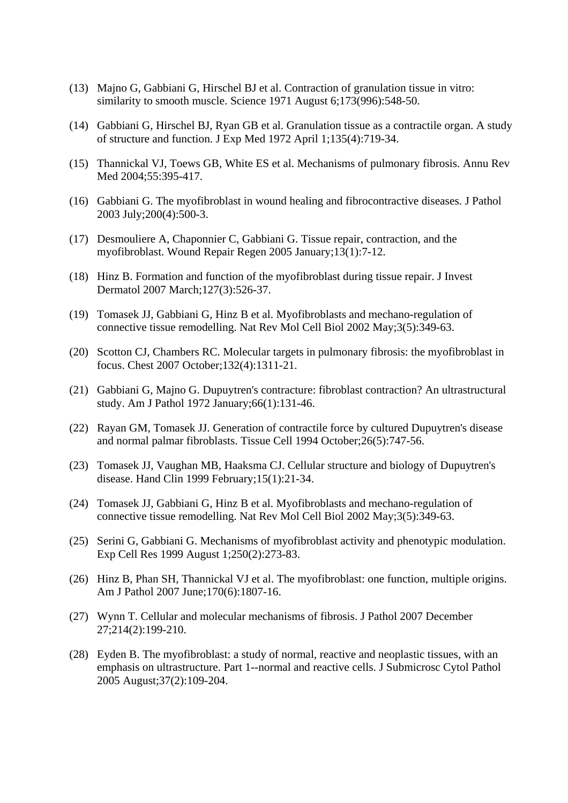- (13) Majno G, Gabbiani G, Hirschel BJ et al. Contraction of granulation tissue in vitro: similarity to smooth muscle. Science 1971 August 6;173(996):548-50.
- (14) Gabbiani G, Hirschel BJ, Ryan GB et al. Granulation tissue as a contractile organ. A study of structure and function. J Exp Med 1972 April 1;135(4):719-34.
- (15) Thannickal VJ, Toews GB, White ES et al. Mechanisms of pulmonary fibrosis. Annu Rev Med 2004;55:395-417.
- (16) Gabbiani G. The myofibroblast in wound healing and fibrocontractive diseases. J Pathol 2003 July;200(4):500-3.
- (17) Desmouliere A, Chaponnier C, Gabbiani G. Tissue repair, contraction, and the myofibroblast. Wound Repair Regen 2005 January;13(1):7-12.
- (18) Hinz B. Formation and function of the myofibroblast during tissue repair. J Invest Dermatol 2007 March;127(3):526-37.
- (19) Tomasek JJ, Gabbiani G, Hinz B et al. Myofibroblasts and mechano-regulation of connective tissue remodelling. Nat Rev Mol Cell Biol 2002 May;3(5):349-63.
- (20) Scotton CJ, Chambers RC. Molecular targets in pulmonary fibrosis: the myofibroblast in focus. Chest 2007 October;132(4):1311-21.
- (21) Gabbiani G, Majno G. Dupuytren's contracture: fibroblast contraction? An ultrastructural study. Am J Pathol 1972 January;66(1):131-46.
- (22) Rayan GM, Tomasek JJ. Generation of contractile force by cultured Dupuytren's disease and normal palmar fibroblasts. Tissue Cell 1994 October;26(5):747-56.
- (23) Tomasek JJ, Vaughan MB, Haaksma CJ. Cellular structure and biology of Dupuytren's disease. Hand Clin 1999 February;15(1):21-34.
- (24) Tomasek JJ, Gabbiani G, Hinz B et al. Myofibroblasts and mechano-regulation of connective tissue remodelling. Nat Rev Mol Cell Biol 2002 May;3(5):349-63.
- (25) Serini G, Gabbiani G. Mechanisms of myofibroblast activity and phenotypic modulation. Exp Cell Res 1999 August 1;250(2):273-83.
- (26) Hinz B, Phan SH, Thannickal VJ et al. The myofibroblast: one function, multiple origins. Am J Pathol 2007 June;170(6):1807-16.
- (27) Wynn T. Cellular and molecular mechanisms of fibrosis. J Pathol 2007 December 27;214(2):199-210.
- (28) Eyden B. The myofibroblast: a study of normal, reactive and neoplastic tissues, with an emphasis on ultrastructure. Part 1--normal and reactive cells. J Submicrosc Cytol Pathol 2005 August;37(2):109-204.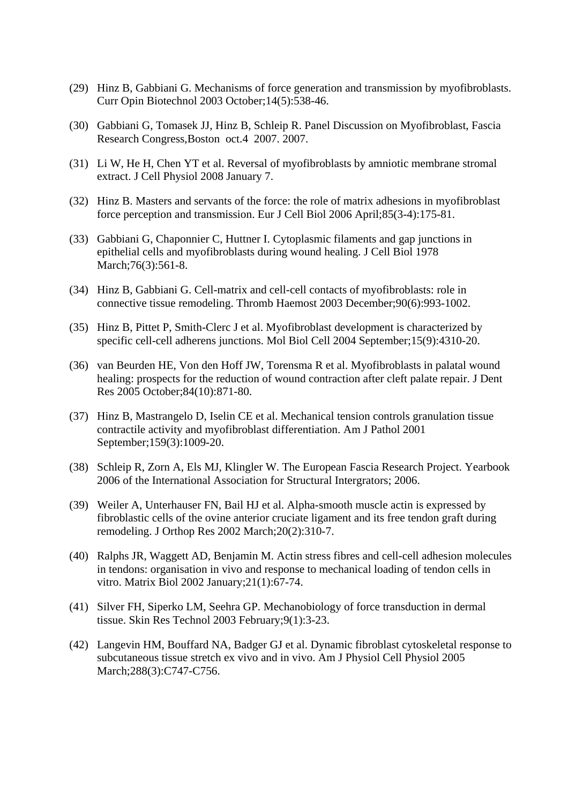- (29) Hinz B, Gabbiani G. Mechanisms of force generation and transmission by myofibroblasts. Curr Opin Biotechnol 2003 October;14(5):538-46.
- (30) Gabbiani G, Tomasek JJ, Hinz B, Schleip R. Panel Discussion on Myofibroblast, Fascia Research Congress,Boston oct.4 2007. 2007.
- (31) Li W, He H, Chen YT et al. Reversal of myofibroblasts by amniotic membrane stromal extract. J Cell Physiol 2008 January 7.
- (32) Hinz B. Masters and servants of the force: the role of matrix adhesions in myofibroblast force perception and transmission. Eur J Cell Biol 2006 April;85(3-4):175-81.
- (33) Gabbiani G, Chaponnier C, Huttner I. Cytoplasmic filaments and gap junctions in epithelial cells and myofibroblasts during wound healing. J Cell Biol 1978 March; 76(3): 561-8.
- (34) Hinz B, Gabbiani G. Cell-matrix and cell-cell contacts of myofibroblasts: role in connective tissue remodeling. Thromb Haemost 2003 December;90(6):993-1002.
- (35) Hinz B, Pittet P, Smith-Clerc J et al. Myofibroblast development is characterized by specific cell-cell adherens junctions. Mol Biol Cell 2004 September;15(9):4310-20.
- (36) van Beurden HE, Von den Hoff JW, Torensma R et al. Myofibroblasts in palatal wound healing: prospects for the reduction of wound contraction after cleft palate repair. J Dent Res 2005 October;84(10):871-80.
- (37) Hinz B, Mastrangelo D, Iselin CE et al. Mechanical tension controls granulation tissue contractile activity and myofibroblast differentiation. Am J Pathol 2001 September;159(3):1009-20.
- (38) Schleip R, Zorn A, Els MJ, Klingler W. The European Fascia Research Project. Yearbook 2006 of the International Association for Structural Intergrators; 2006.
- (39) Weiler A, Unterhauser FN, Bail HJ et al. Alpha-smooth muscle actin is expressed by fibroblastic cells of the ovine anterior cruciate ligament and its free tendon graft during remodeling. J Orthop Res 2002 March;20(2):310-7.
- (40) Ralphs JR, Waggett AD, Benjamin M. Actin stress fibres and cell-cell adhesion molecules in tendons: organisation in vivo and response to mechanical loading of tendon cells in vitro. Matrix Biol 2002 January;21(1):67-74.
- (41) Silver FH, Siperko LM, Seehra GP. Mechanobiology of force transduction in dermal tissue. Skin Res Technol 2003 February;9(1):3-23.
- (42) Langevin HM, Bouffard NA, Badger GJ et al. Dynamic fibroblast cytoskeletal response to subcutaneous tissue stretch ex vivo and in vivo. Am J Physiol Cell Physiol 2005 March; 288(3): C747-C756.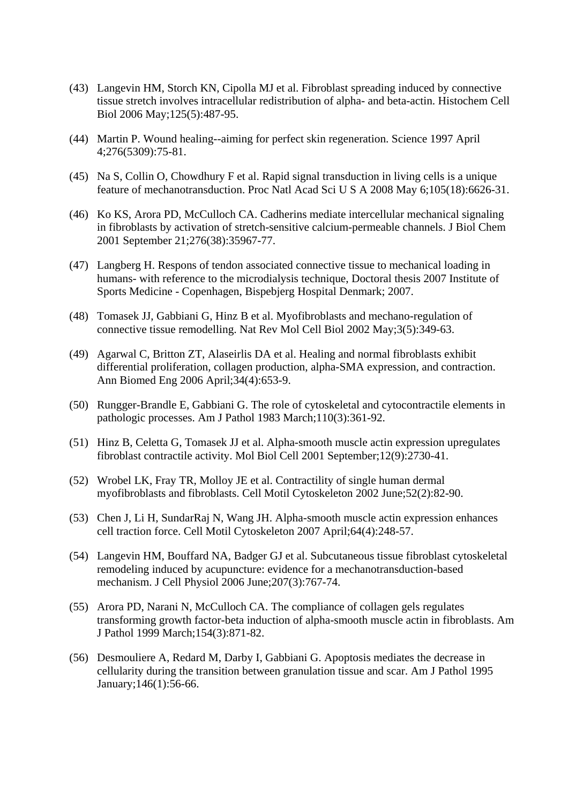- (43) Langevin HM, Storch KN, Cipolla MJ et al. Fibroblast spreading induced by connective tissue stretch involves intracellular redistribution of alpha- and beta-actin. Histochem Cell Biol 2006 May;125(5):487-95.
- (44) Martin P. Wound healing--aiming for perfect skin regeneration. Science 1997 April 4;276(5309):75-81.
- (45) Na S, Collin O, Chowdhury F et al. Rapid signal transduction in living cells is a unique feature of mechanotransduction. Proc Natl Acad Sci U S A 2008 May 6;105(18):6626-31.
- (46) Ko KS, Arora PD, McCulloch CA. Cadherins mediate intercellular mechanical signaling in fibroblasts by activation of stretch-sensitive calcium-permeable channels. J Biol Chem 2001 September 21;276(38):35967-77.
- (47) Langberg H. Respons of tendon associated connective tissue to mechanical loading in humans- with reference to the microdialysis technique, Doctoral thesis 2007 Institute of Sports Medicine - Copenhagen, Bispebjerg Hospital Denmark; 2007.
- (48) Tomasek JJ, Gabbiani G, Hinz B et al. Myofibroblasts and mechano-regulation of connective tissue remodelling. Nat Rev Mol Cell Biol 2002 May;3(5):349-63.
- (49) Agarwal C, Britton ZT, Alaseirlis DA et al. Healing and normal fibroblasts exhibit differential proliferation, collagen production, alpha-SMA expression, and contraction. Ann Biomed Eng 2006 April;34(4):653-9.
- (50) Rungger-Brandle E, Gabbiani G. The role of cytoskeletal and cytocontractile elements in pathologic processes. Am J Pathol 1983 March;110(3):361-92.
- (51) Hinz B, Celetta G, Tomasek JJ et al. Alpha-smooth muscle actin expression upregulates fibroblast contractile activity. Mol Biol Cell 2001 September;12(9):2730-41.
- (52) Wrobel LK, Fray TR, Molloy JE et al. Contractility of single human dermal myofibroblasts and fibroblasts. Cell Motil Cytoskeleton 2002 June;52(2):82-90.
- (53) Chen J, Li H, SundarRaj N, Wang JH. Alpha-smooth muscle actin expression enhances cell traction force. Cell Motil Cytoskeleton 2007 April;64(4):248-57.
- (54) Langevin HM, Bouffard NA, Badger GJ et al. Subcutaneous tissue fibroblast cytoskeletal remodeling induced by acupuncture: evidence for a mechanotransduction-based mechanism. J Cell Physiol 2006 June;207(3):767-74.
- (55) Arora PD, Narani N, McCulloch CA. The compliance of collagen gels regulates transforming growth factor-beta induction of alpha-smooth muscle actin in fibroblasts. Am J Pathol 1999 March;154(3):871-82.
- (56) Desmouliere A, Redard M, Darby I, Gabbiani G. Apoptosis mediates the decrease in cellularity during the transition between granulation tissue and scar. Am J Pathol 1995 January;146(1):56-66.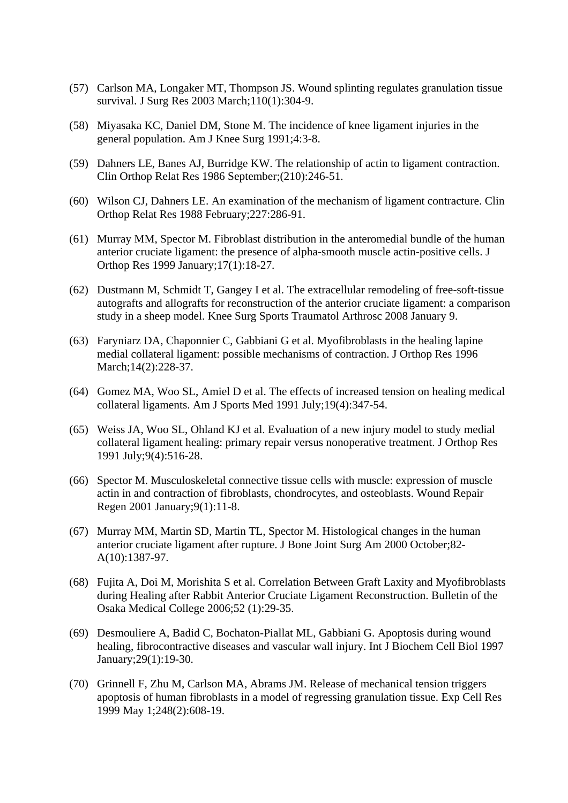- (57) Carlson MA, Longaker MT, Thompson JS. Wound splinting regulates granulation tissue survival. J Surg Res 2003 March;110(1):304-9.
- (58) Miyasaka KC, Daniel DM, Stone M. The incidence of knee ligament injuries in the general population. Am J Knee Surg 1991;4:3-8.
- (59) Dahners LE, Banes AJ, Burridge KW. The relationship of actin to ligament contraction. Clin Orthop Relat Res 1986 September;(210):246-51.
- (60) Wilson CJ, Dahners LE. An examination of the mechanism of ligament contracture. Clin Orthop Relat Res 1988 February;227:286-91.
- (61) Murray MM, Spector M. Fibroblast distribution in the anteromedial bundle of the human anterior cruciate ligament: the presence of alpha-smooth muscle actin-positive cells. J Orthop Res 1999 January;17(1):18-27.
- (62) Dustmann M, Schmidt T, Gangey I et al. The extracellular remodeling of free-soft-tissue autografts and allografts for reconstruction of the anterior cruciate ligament: a comparison study in a sheep model. Knee Surg Sports Traumatol Arthrosc 2008 January 9.
- (63) Faryniarz DA, Chaponnier C, Gabbiani G et al. Myofibroblasts in the healing lapine medial collateral ligament: possible mechanisms of contraction. J Orthop Res 1996 March; 14(2): 228-37.
- (64) Gomez MA, Woo SL, Amiel D et al. The effects of increased tension on healing medical collateral ligaments. Am J Sports Med 1991 July;19(4):347-54.
- (65) Weiss JA, Woo SL, Ohland KJ et al. Evaluation of a new injury model to study medial collateral ligament healing: primary repair versus nonoperative treatment. J Orthop Res 1991 July;9(4):516-28.
- (66) Spector M. Musculoskeletal connective tissue cells with muscle: expression of muscle actin in and contraction of fibroblasts, chondrocytes, and osteoblasts. Wound Repair Regen 2001 January;9(1):11-8.
- (67) Murray MM, Martin SD, Martin TL, Spector M. Histological changes in the human anterior cruciate ligament after rupture. J Bone Joint Surg Am 2000 October;82- A(10):1387-97.
- (68) Fujita A, Doi M, Morishita S et al. Correlation Between Graft Laxity and Myofibroblasts during Healing after Rabbit Anterior Cruciate Ligament Reconstruction. Bulletin of the Osaka Medical College 2006;52 (1):29-35.
- (69) Desmouliere A, Badid C, Bochaton-Piallat ML, Gabbiani G. Apoptosis during wound healing, fibrocontractive diseases and vascular wall injury. Int J Biochem Cell Biol 1997 January;29(1):19-30.
- (70) Grinnell F, Zhu M, Carlson MA, Abrams JM. Release of mechanical tension triggers apoptosis of human fibroblasts in a model of regressing granulation tissue. Exp Cell Res 1999 May 1;248(2):608-19.